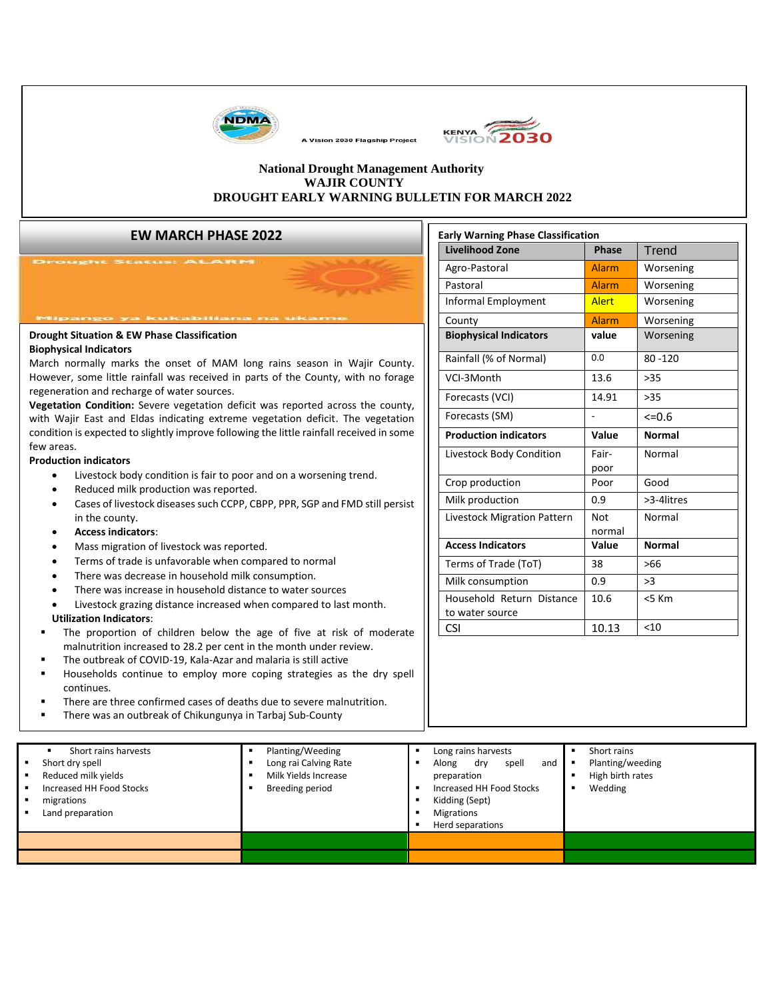

KENYA 2030

#### **National Drought Management Authority WAJIR COUNTY DROUGHT EARLY WARNING BULLETIN FOR MARCH 2022**

A Vision 2030 Flagship Project

#### **EW MARCH PHASE 2022**

| Drought Situation & EW Phase Classification |  |
|---------------------------------------------|--|
| <b>Biophysical Indicators</b>               |  |

March normally marks the onset of MAM long rains season in Wajir County. However, some little rainfall was received in parts of the County, with no forage regeneration and recharge of water sources.

**Vegetation Condition:** Severe vegetation deficit was reported across the county, with Wajir East and Eldas indicating extreme vegetation deficit. The vegetation condition is expected to slightly improve following the little rainfall received in some few areas.

#### **Production indicators**

- Livestock body condition is fair to poor and on a worsening trend.
- Reduced milk production was reported.
- Cases of livestock diseases such CCPP, CBPP, PPR, SGP and FMD still persist in the county.
- **Access indicators**:
- Mass migration of livestock was reported.
- Terms of trade is unfavorable when compared to normal
- There was decrease in household milk consumption.
- There was increase in household distance to water sources
- Livestock grazing distance increased when compared to last month.

#### **Utilization Indicators**:

- The proportion of children below the age of five at risk of moderate malnutrition increased to 28.2 per cent in the month under review.
- The outbreak of COVID-19, Kala-Azar and malaria is still active
- Households continue to employ more coping strategies as the dry spell continues.
- There are three confirmed cases of deaths due to severe malnutrition.
- There was an outbreak of Chikungunya in Tarbaj Sub-County

| <b>Early Warning Phase Classification</b> |              |               |  |  |  |  |
|-------------------------------------------|--------------|---------------|--|--|--|--|
| <b>Livelihood Zone</b>                    | <b>Phase</b> | Trend         |  |  |  |  |
| Agro-Pastoral                             | Alarm        | Worsening     |  |  |  |  |
| Pastoral                                  | Alarm        | Worsening     |  |  |  |  |
| Informal Employment                       | <b>Alert</b> | Worsening     |  |  |  |  |
| County                                    | <b>Alarm</b> | Worsening     |  |  |  |  |
| <b>Biophysical Indicators</b>             | value        | Worsening     |  |  |  |  |
| Rainfall (% of Normal)                    | 0.0          | $80 - 120$    |  |  |  |  |
| VCI-3Month                                | 13.6         | >35           |  |  |  |  |
| Forecasts (VCI)                           | 14.91        | >35           |  |  |  |  |
| Forecasts (SM)                            |              | $<=0.6$       |  |  |  |  |
| <b>Production indicators</b>              | Value        | <b>Normal</b> |  |  |  |  |
| Livestock Body Condition                  | Fair-        | Normal        |  |  |  |  |
|                                           | poor         |               |  |  |  |  |
| Crop production                           | Poor         | Good          |  |  |  |  |
| Milk production                           | 0.9          | $>3-4$ litres |  |  |  |  |
| Livestock Migration Pattern               | Not          | Normal        |  |  |  |  |
|                                           | normal       |               |  |  |  |  |
| <b>Access Indicators</b>                  | Value        | <b>Normal</b> |  |  |  |  |
| Terms of Trade (ToT)                      | 38           | $>66$         |  |  |  |  |
| Milk consumption                          | 0.9          | >3            |  |  |  |  |
|                                           |              |               |  |  |  |  |
| Household Return Distance                 | 10.6         | $< 5$ Km      |  |  |  |  |
| to water source                           |              |               |  |  |  |  |

| Short rains harvests<br>Short dry spell<br>Reduced milk yields<br>Increased HH Food Stocks<br>migrations<br>Land preparation | Planting/Weeding<br>Long rai Calving Rate<br>Milk Yields Increase<br>Breeding period | Long rains harvests<br>Along<br>dry<br>spell<br>and<br>preparation<br>Increased HH Food Stocks<br>Kidding (Sept)<br><b>Migrations</b><br>Herd separations | Short rains<br>Planting/weeding<br>High birth rates<br>Wedding |
|------------------------------------------------------------------------------------------------------------------------------|--------------------------------------------------------------------------------------|-----------------------------------------------------------------------------------------------------------------------------------------------------------|----------------------------------------------------------------|
|                                                                                                                              |                                                                                      |                                                                                                                                                           |                                                                |
|                                                                                                                              |                                                                                      |                                                                                                                                                           |                                                                |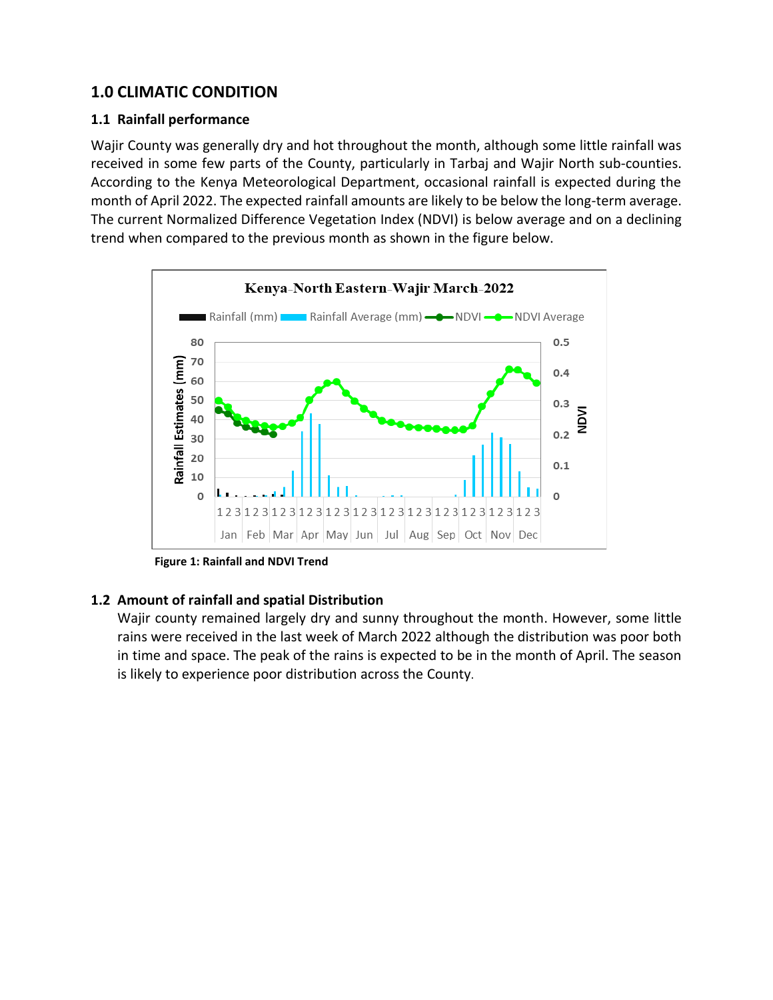# **1.0 CLIMATIC CONDITION**

#### **1.1 Rainfall performance**

Wajir County was generally dry and hot throughout the month, although some little rainfall was received in some few parts of the County, particularly in Tarbaj and Wajir North sub-counties. According to the Kenya Meteorological Department, occasional rainfall is expected during the month of April 2022. The expected rainfall amounts are likely to be below the long-term average. The current Normalized Difference Vegetation Index (NDVI) is below average and on a declining trend when compared to the previous month as shown in the figure below.



**Figure 1: Rainfall and NDVI Trend**

## **1.2 Amount of rainfall and spatial Distribution**

Wajir county remained largely dry and sunny throughout the month. However, some little rains were received in the last week of March 2022 although the distribution was poor both in time and space. The peak of the rains is expected to be in the month of April. The season is likely to experience poor distribution across the County.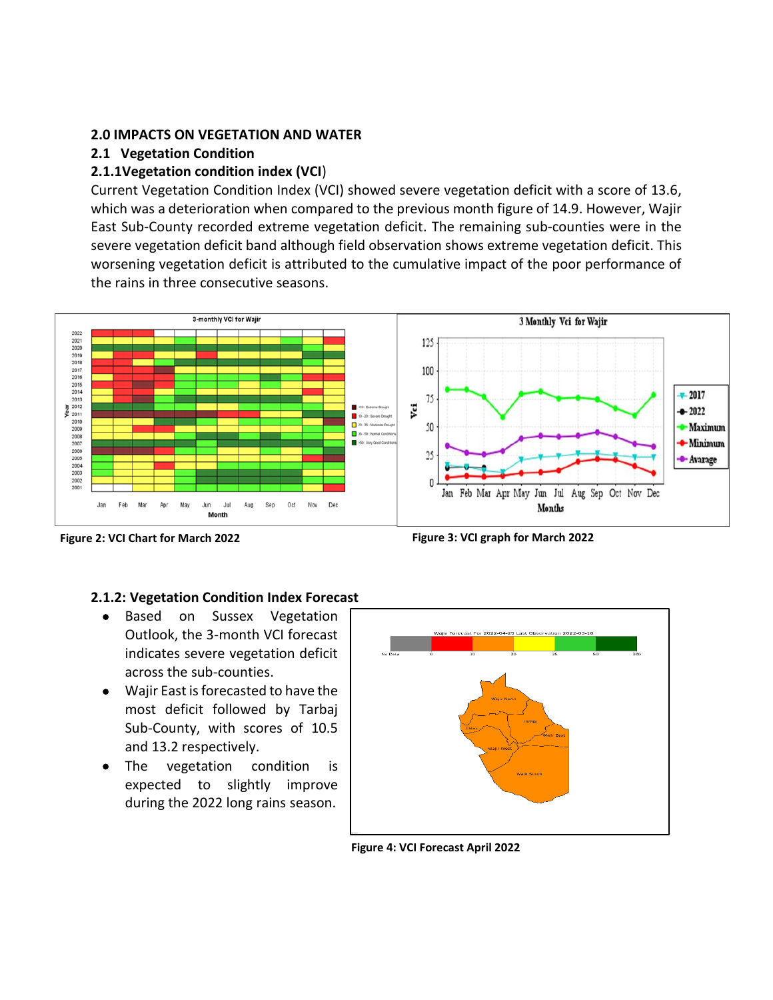#### **2.0 IMPACTS ON VEGETATION AND WATER**

#### **2.1 Vegetation Condition**

#### **2.1.1Vegetation condition index (VCI**)

Current Vegetation Condition Index (VCI) showed severe vegetation deficit with a score of 13.6, which was a deterioration when compared to the previous month figure of 14.9. However, Wajir East Sub-County recorded extreme vegetation deficit. The remaining sub-counties were in the severe vegetation deficit band although field observation shows extreme vegetation deficit. This worsening vegetation deficit is attributed to the cumulative impact of the poor performance of the rains in three consecutive seasons.



 **Figure 2: VCI Chart for March 2022 Figure 3: VCI graph for March 2022**

#### **2.1.2: Vegetation Condition Index Forecast**

- Based on Sussex Vegetation Outlook, the 3-month VCI forecast indicates severe vegetation deficit across the sub-counties.
- Wajir East is forecasted to have the most deficit followed by Tarbaj Sub-County, with scores of 10.5 and 13.2 respectively.
- The vegetation condition is expected to slightly improve during the 2022 long rains season.



**Figure 4: VCI Forecast April 2022**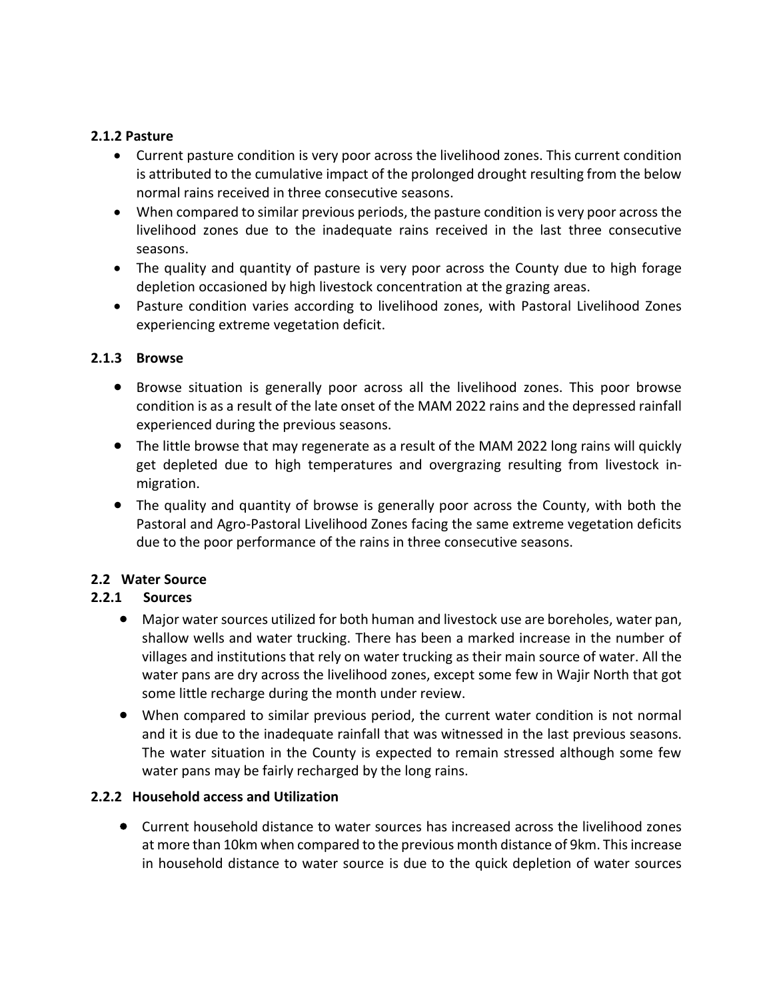#### **2.1.2 Pasture**

- Current pasture condition is very poor across the livelihood zones. This current condition is attributed to the cumulative impact of the prolonged drought resulting from the below normal rains received in three consecutive seasons.
- When compared to similar previous periods, the pasture condition is very poor across the livelihood zones due to the inadequate rains received in the last three consecutive seasons.
- The quality and quantity of pasture is very poor across the County due to high forage depletion occasioned by high livestock concentration at the grazing areas.
- Pasture condition varies according to livelihood zones, with Pastoral Livelihood Zones experiencing extreme vegetation deficit.

#### **2.1.3 Browse**

- Browse situation is generally poor across all the livelihood zones. This poor browse condition is as a result of the late onset of the MAM 2022 rains and the depressed rainfall experienced during the previous seasons.
- The little browse that may regenerate as a result of the MAM 2022 long rains will quickly get depleted due to high temperatures and overgrazing resulting from livestock inmigration.
- The quality and quantity of browse is generally poor across the County, with both the Pastoral and Agro-Pastoral Livelihood Zones facing the same extreme vegetation deficits due to the poor performance of the rains in three consecutive seasons.

#### **2.2 Water Source**

#### **2.2.1 Sources**

- Major water sources utilized for both human and livestock use are boreholes, water pan, shallow wells and water trucking. There has been a marked increase in the number of villages and institutions that rely on water trucking as their main source of water. All the water pans are dry across the livelihood zones, except some few in Wajir North that got some little recharge during the month under review.
- When compared to similar previous period, the current water condition is not normal and it is due to the inadequate rainfall that was witnessed in the last previous seasons. The water situation in the County is expected to remain stressed although some few water pans may be fairly recharged by the long rains.

#### **2.2.2 Household access and Utilization**

• Current household distance to water sources has increased across the livelihood zones at more than 10km when compared to the previous month distance of 9km. This increase in household distance to water source is due to the quick depletion of water sources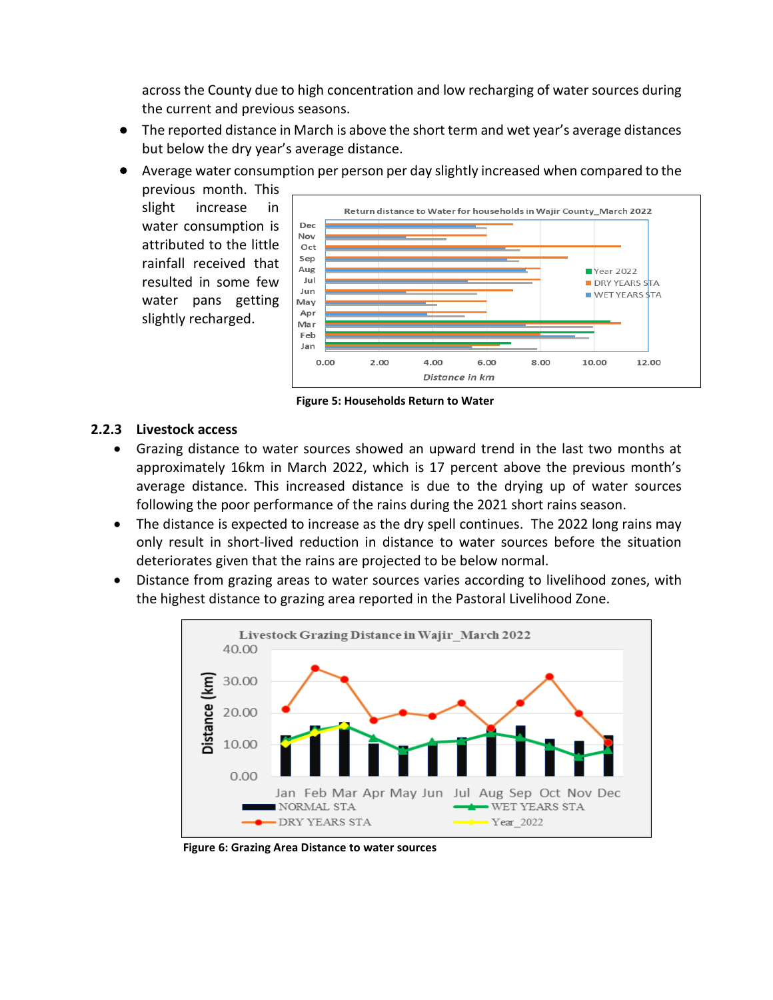across the County due to high concentration and low recharging of water sources during the current and previous seasons.

- The reported distance in March is above the short term and wet year's average distances but below the dry year's average distance.
- Average water consumption per person per day slightly increased when compared to the

previous month. This slight increase in water consumption is attributed to the little rainfall received that resulted in some few water pans getting slightly recharged.



**Figure 5: Households Return to Water**

#### **2.2.3 Livestock access**

- Grazing distance to water sources showed an upward trend in the last two months at approximately 16km in March 2022, which is 17 percent above the previous month's average distance. This increased distance is due to the drying up of water sources following the poor performance of the rains during the 2021 short rains season.
- The distance is expected to increase as the dry spell continues. The 2022 long rains may only result in short-lived reduction in distance to water sources before the situation deteriorates given that the rains are projected to be below normal.
- Distance from grazing areas to water sources varies according to livelihood zones, with the highest distance to grazing area reported in the Pastoral Livelihood Zone.



**Figure 6: Grazing Area Distance to water sources**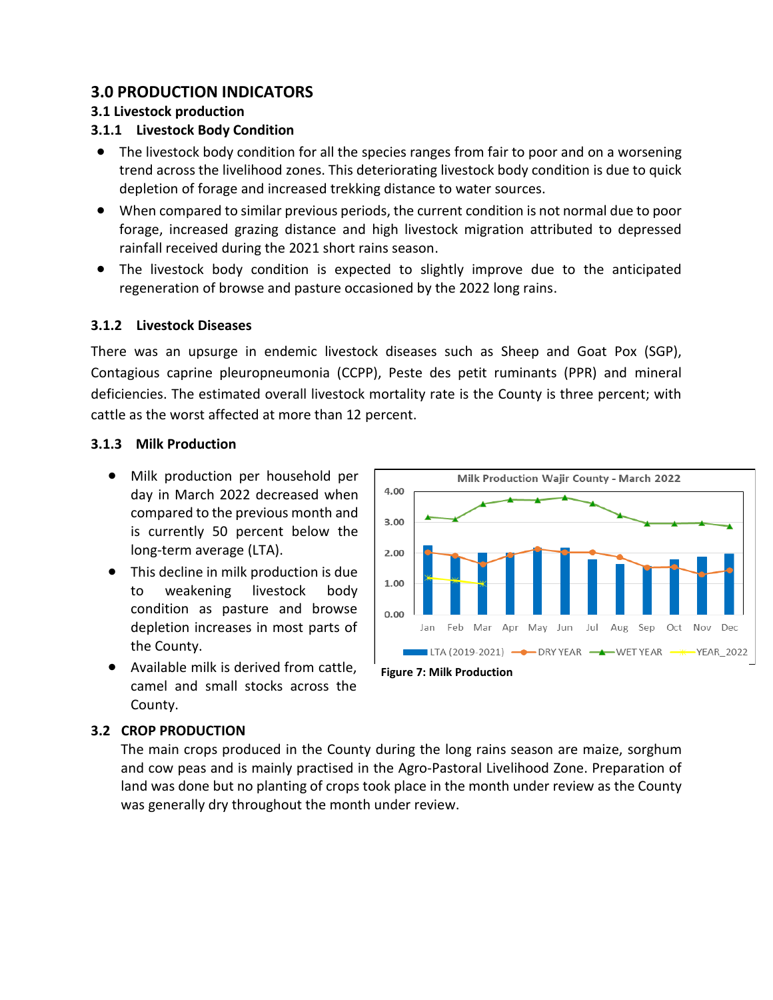## **3.0 PRODUCTION INDICATORS**

#### **3.1 Livestock production**

#### **3.1.1 Livestock Body Condition**

- The livestock body condition for all the species ranges from fair to poor and on a worsening trend across the livelihood zones. This deteriorating livestock body condition is due to quick depletion of forage and increased trekking distance to water sources.
- When compared to similar previous periods, the current condition is not normal due to poor forage, increased grazing distance and high livestock migration attributed to depressed rainfall received during the 2021 short rains season.
- The livestock body condition is expected to slightly improve due to the anticipated regeneration of browse and pasture occasioned by the 2022 long rains.

## **3.1.2 Livestock Diseases**

There was an upsurge in endemic livestock diseases such as Sheep and Goat Pox (SGP), Contagious caprine pleuropneumonia (CCPP), Peste des petit ruminants (PPR) and mineral deficiencies. The estimated overall livestock mortality rate is the County is three percent; with cattle as the worst affected at more than 12 percent.

#### **3.1.3 Milk Production**

- Milk production per household per day in March 2022 decreased when compared to the previous month and is currently 50 percent below the long-term average (LTA).
- This decline in milk production is due to weakening livestock body condition as pasture and browse depletion increases in most parts of the County.
- Available milk is derived from cattle, camel and small stocks across the County.



# **3.2 CROP PRODUCTION**

The main crops produced in the County during the long rains season are maize, sorghum and cow peas and is mainly practised in the Agro-Pastoral Livelihood Zone. Preparation of land was done but no planting of crops took place in the month under review as the County was generally dry throughout the month under review.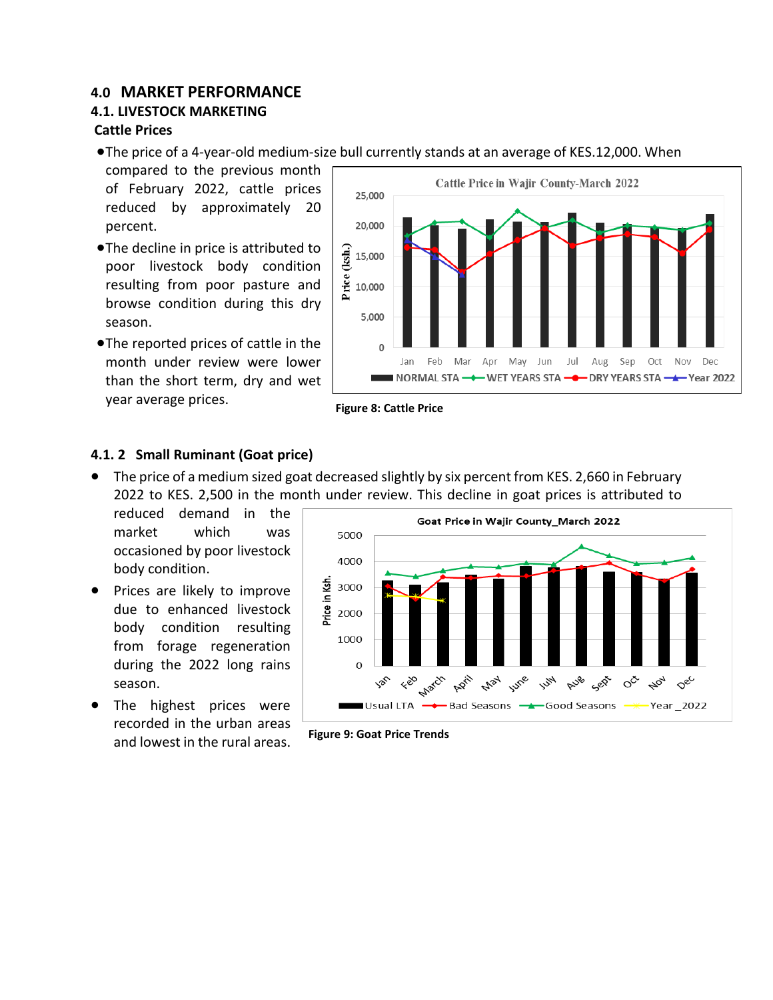# **4.0 MARKET PERFORMANCE**

# **4.1. LIVESTOCK MARKETING**

#### **Cattle Prices**

- •The price of a 4-year-old medium-size bull currently stands at an average of KES.12,000. When
- compared to the previous month of February 2022, cattle prices reduced by approximately 20 percent.
- •The decline in price is attributed to poor livestock body condition resulting from poor pasture and browse condition during this dry season.
- •The reported prices of cattle in the month under review were lower than the short term, dry and wet year average prices.



**Figure 8: Cattle Price**

## **4.1. 2 Small Ruminant (Goat price)**

• The price of a medium sized goat decreased slightly by six percent from KES. 2,660 in February 2022 to KES. 2,500 in the month under review. This decline in goat prices is attributed to

reduced demand in the market which was occasioned by poor livestock body condition.

- Prices are likely to improve due to enhanced livestock body condition resulting from forage regeneration during the 2022 long rains season.
- The highest prices were recorded in the urban areas and lowest in the rural areas.



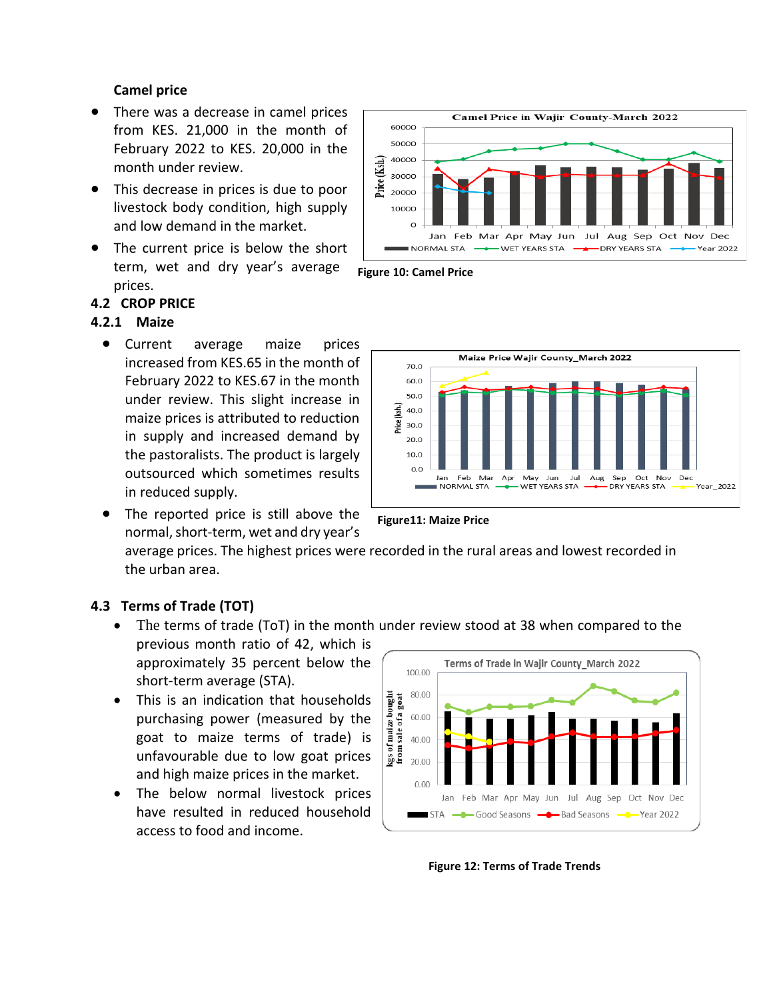#### **Camel price**

- There was a decrease in camel prices from KES. 21,000 in the month of February 2022 to KES. 20,000 in the month under review.
- This decrease in prices is due to poor livestock body condition, high supply and low demand in the market.
- The current price is below the short term, wet and dry year's average prices.

#### **4.2 CROP PRICE**

#### **4.2.1 Maize**

- Current average maize prices increased from KES.65 in the month of February 2022 to KES.67 in the month under review. This slight increase in maize prices is attributed to reduction in supply and increased demand by the pastoralists. The product is largely outsourced which sometimes results in reduced supply.
- The reported price is still above the normal, short-term, wet and dry year's

**Figure11: Maize Price**

average prices. The highest prices were recorded in the rural areas and lowest recorded in the urban area.

#### **4.3 Terms of Trade (TOT)**

• The terms of trade (ToT) in the month under review stood at 38 when compared to the previous month ratio of 42, which is

approximately 35 percent below the short-term average (STA).

- This is an indication that households purchasing power (measured by the goat to maize terms of trade) is unfavourable due to low goat prices and high maize prices in the market.
- The below normal livestock prices have resulted in reduced household access to food and income.



**Figure 12: Terms of Trade Trends**





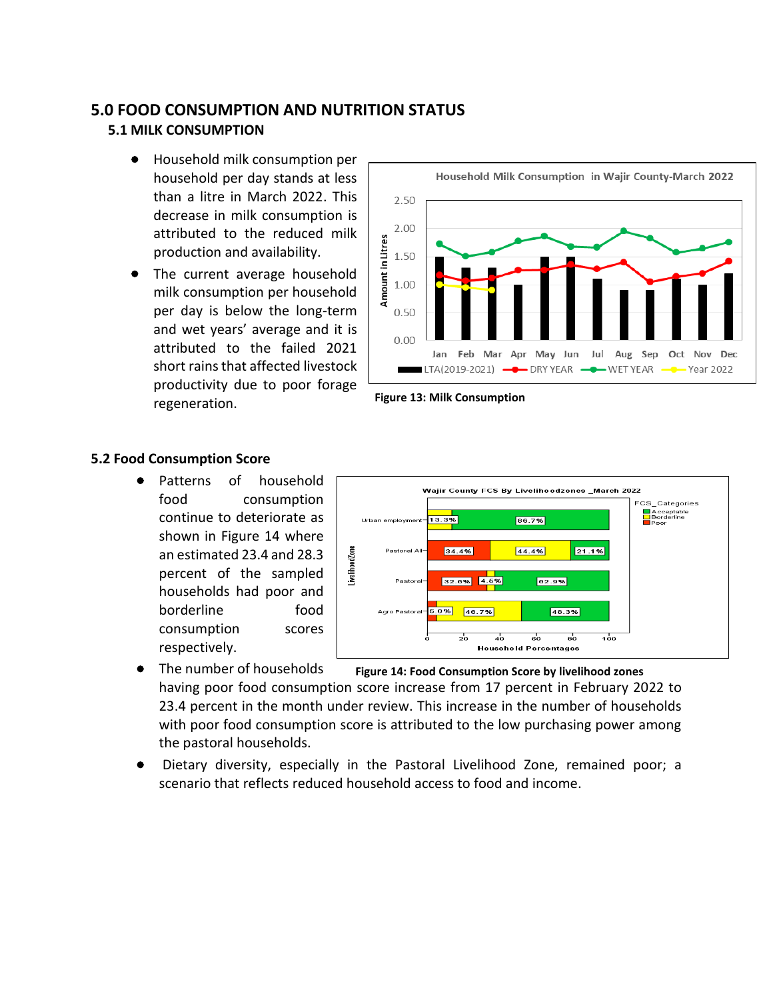## **5.0 FOOD CONSUMPTION AND NUTRITION STATUS**

#### **5.1 MILK CONSUMPTION**

- Household milk consumption per household per day stands at less than a litre in March 2022. This decrease in milk consumption is attributed to the reduced milk production and availability.
- The current average household milk consumption per household per day is below the long-term and wet years' average and it is attributed to the failed 2021 short rains that affected livestock productivity due to poor forage regeneration.





#### **5.2 Food Consumption Score**

Patterns of household food consumption continue to deteriorate as shown in Figure 14 where an estimated 23.4 and 28.3 percent of the sampled households had poor and borderline food consumption scores respectively.



- The number of households having poor food consumption score increase from 17 percent in February 2022 to 23.4 percent in the month under review. This increase in the number of households with poor food consumption score is attributed to the low purchasing power among the pastoral households. **Figure 14: Food Consumption Score by livelihood zones**
- Dietary diversity, especially in the Pastoral Livelihood Zone, remained poor; a scenario that reflects reduced household access to food and income.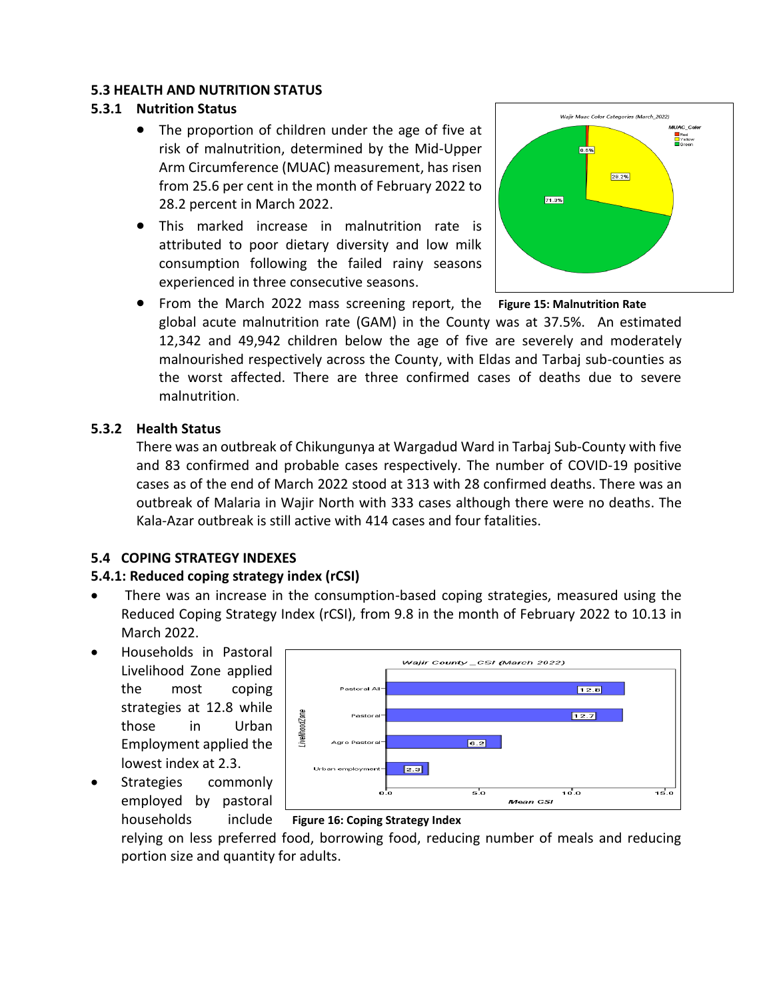#### **5.3 HEALTH AND NUTRITION STATUS**

#### **5.3.1 Nutrition Status**

- The proportion of children under the age of five at risk of malnutrition, determined by the Mid-Upper Arm Circumference (MUAC) measurement, has risen from 25.6 per cent in the month of February 2022 to 28.2 percent in March 2022.
- This marked increase in malnutrition rate is attributed to poor dietary diversity and low milk consumption following the failed rainy seasons experienced in three consecutive seasons.





• From the March 2022 mass screening report, the **Figure 15: Malnutrition Rate** global acute malnutrition rate (GAM) in the County was at 37.5%. An estimated 12,342 and 49,942 children below the age of five are severely and moderately malnourished respectively across the County, with Eldas and Tarbaj sub-counties as the worst affected. There are three confirmed cases of deaths due to severe malnutrition.

#### **5.3.2 Health Status**

There was an outbreak of Chikungunya at Wargadud Ward in Tarbaj Sub-County with five and 83 confirmed and probable cases respectively. The number of COVID-19 positive cases as of the end of March 2022 stood at 313 with 28 confirmed deaths. There was an outbreak of Malaria in Wajir North with 333 cases although there were no deaths. The Kala-Azar outbreak is still active with 414 cases and four fatalities.

#### **5.4 COPING STRATEGY INDEXES**

#### **5.4.1: Reduced coping strategy index (rCSI)**

- There was an increase in the consumption-based coping strategies, measured using the Reduced Coping Strategy Index (rCSI), from 9.8 in the month of February 2022 to 10.13 in March 2022.
- Households in Pastoral Livelihood Zone applied the most coping strategies at 12.8 while those in Urban Employment applied the lowest index at 2.3.
- Strategies commonly employed by pastoral households include



#### **Figure 16: Coping Strategy Index**

relying on less preferred food, borrowing food, reducing number of meals and reducing portion size and quantity for adults.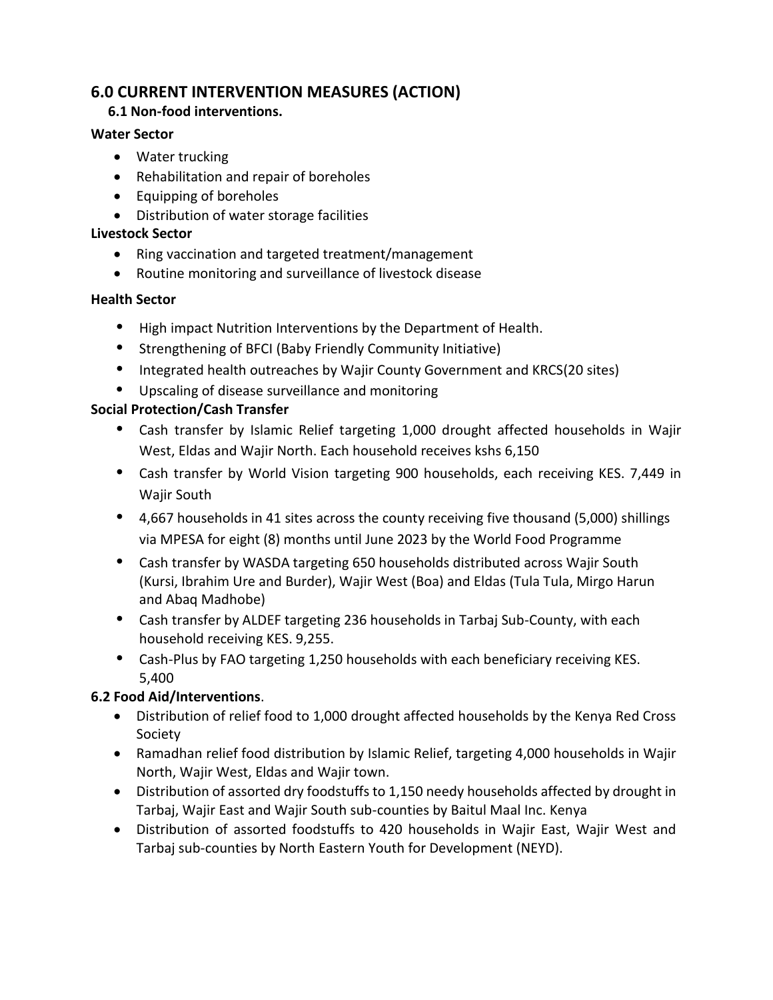# **6.0 CURRENT INTERVENTION MEASURES (ACTION)**

## **6.1 Non-food interventions.**

## **Water Sector**

- Water trucking
- Rehabilitation and repair of boreholes
- Equipping of boreholes
- Distribution of water storage facilities

## **Livestock Sector**

- Ring vaccination and targeted treatment/management
- Routine monitoring and surveillance of livestock disease

## **Health Sector**

- **•** High impact Nutrition Interventions by the Department of Health.
- **•** Strengthening of BFCI (Baby Friendly Community Initiative)
- **•** Integrated health outreaches by Wajir County Government and KRCS(20 sites)
- **•** Upscaling of disease surveillance and monitoring

## **Social Protection/Cash Transfer**

- **•** Cash transfer by Islamic Relief targeting 1,000 drought affected households in Wajir West, Eldas and Wajir North. Each household receives kshs 6,150
- **•** Cash transfer by World Vision targeting 900 households, each receiving KES. 7,449 in Wajir South
- **•** 4,667 households in 41 sites across the county receiving five thousand (5,000) shillings via MPESA for eight (8) months until June 2023 by the World Food Programme
- **•** Cash transfer by WASDA targeting 650 households distributed across Wajir South (Kursi, Ibrahim Ure and Burder), Wajir West (Boa) and Eldas (Tula Tula, Mirgo Harun and Abaq Madhobe)
- **•** Cash transfer by ALDEF targeting 236 households in Tarbaj Sub-County, with each household receiving KES. 9,255.
- **•** Cash-Plus by FAO targeting 1,250 households with each beneficiary receiving KES. 5,400

## **6.2 Food Aid/Interventions**.

- Distribution of relief food to 1,000 drought affected households by the Kenya Red Cross Society
- Ramadhan relief food distribution by Islamic Relief, targeting 4,000 households in Wajir North, Wajir West, Eldas and Wajir town.
- Distribution of assorted dry foodstuffs to 1,150 needy households affected by drought in Tarbaj, Wajir East and Wajir South sub-counties by Baitul Maal Inc. Kenya
- Distribution of assorted foodstuffs to 420 households in Wajir East, Wajir West and Tarbaj sub-counties by North Eastern Youth for Development (NEYD).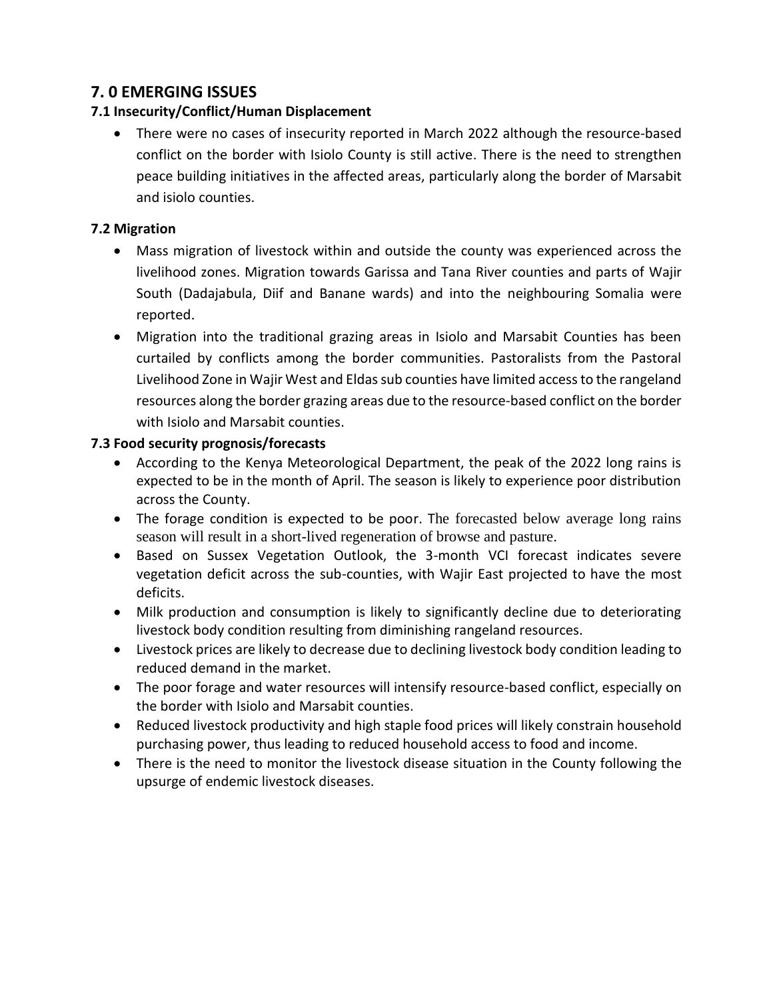# **7. 0 EMERGING ISSUES**

#### **7.1 Insecurity/Conflict/Human Displacement**

• There were no cases of insecurity reported in March 2022 although the resource-based conflict on the border with Isiolo County is still active. There is the need to strengthen peace building initiatives in the affected areas, particularly along the border of Marsabit and isiolo counties.

#### **7.2 Migration**

- Mass migration of livestock within and outside the county was experienced across the livelihood zones. Migration towards Garissa and Tana River counties and parts of Wajir South (Dadajabula, Diif and Banane wards) and into the neighbouring Somalia were reported.
- Migration into the traditional grazing areas in Isiolo and Marsabit Counties has been curtailed by conflicts among the border communities. Pastoralists from the Pastoral Livelihood Zone in Wajir West and Eldas sub counties have limited access to the rangeland resources along the border grazing areas due to the resource-based conflict on the border with Isiolo and Marsabit counties.

## **7.3 Food security prognosis/forecasts**

- According to the Kenya Meteorological Department, the peak of the 2022 long rains is expected to be in the month of April. The season is likely to experience poor distribution across the County.
- The forage condition is expected to be poor. The forecasted below average long rains season will result in a short-lived regeneration of browse and pasture.
- Based on Sussex Vegetation Outlook, the 3-month VCI forecast indicates severe vegetation deficit across the sub-counties, with Wajir East projected to have the most deficits.
- Milk production and consumption is likely to significantly decline due to deteriorating livestock body condition resulting from diminishing rangeland resources.
- Livestock prices are likely to decrease due to declining livestock body condition leading to reduced demand in the market.
- The poor forage and water resources will intensify resource-based conflict, especially on the border with Isiolo and Marsabit counties.
- Reduced livestock productivity and high staple food prices will likely constrain household purchasing power, thus leading to reduced household access to food and income.
- There is the need to monitor the livestock disease situation in the County following the upsurge of endemic livestock diseases.